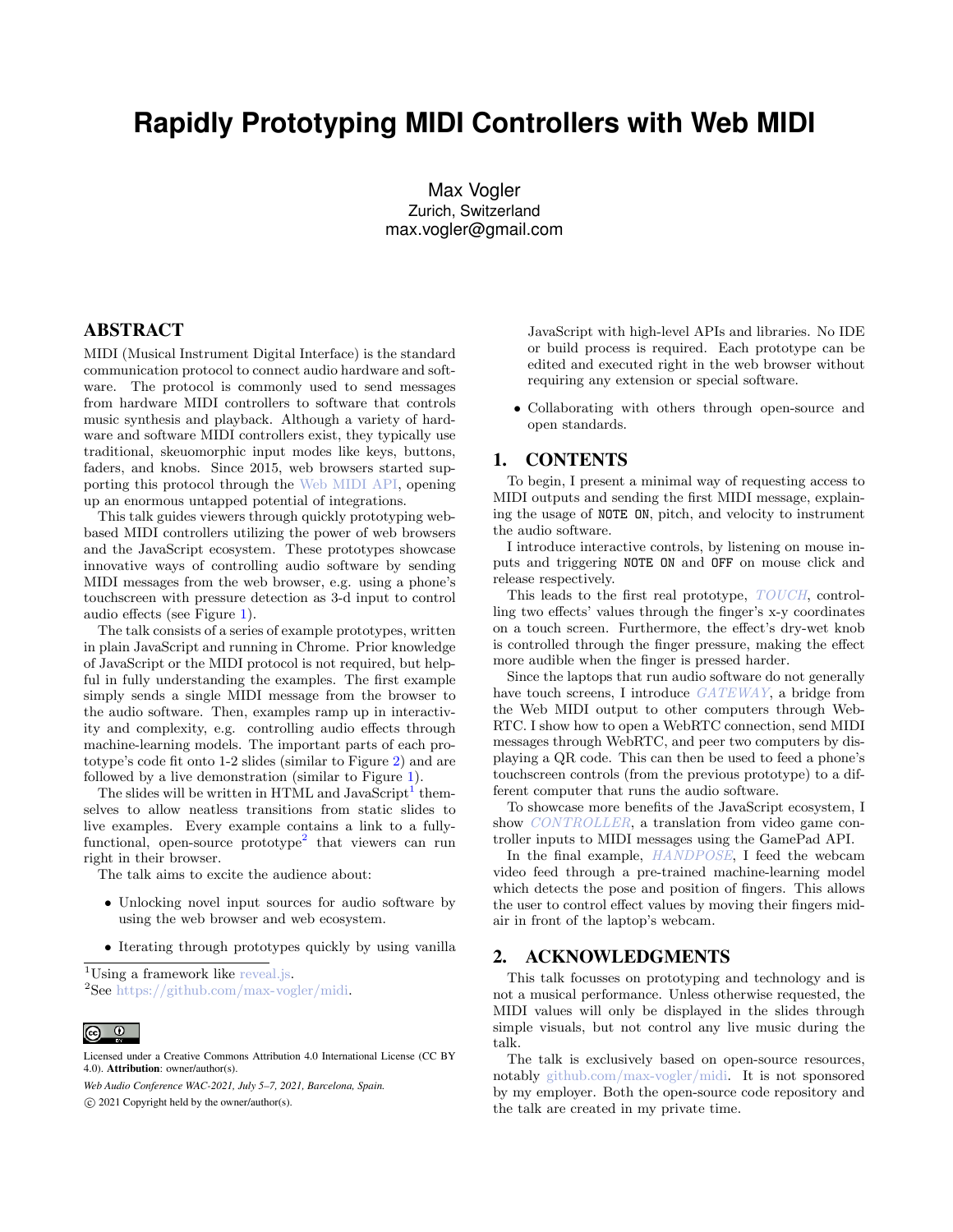## **Rapidly Prototyping MIDI Controllers with Web MIDI**

Max Vogler Zurich, Switzerland max.vogler@gmail.com

## ABSTRACT

MIDI (Musical Instrument Digital Interface) is the standard communication protocol to connect audio hardware and software. The protocol is commonly used to send messages from hardware MIDI controllers to software that controls music synthesis and playback. Although a variety of hardware and software MIDI controllers exist, they typically use traditional, skeuomorphic input modes like keys, buttons, faders, and knobs. Since 2015, web browsers started supporting this protocol through the Web [MIDI](https://www.w3.org/TR/webmidi/) API, opening up an enormous untapped potential of integrations.

This talk guides viewers through quickly prototyping webbased MIDI controllers utilizing the power of web browsers and the JavaScript ecosystem. These prototypes showcase innovative ways of controlling audio software by sending MIDI messages from the web browser, e.g. using a phone's touchscreen with pressure detection as 3-d input to control audio effects (see Figure [1\)](#page-1-0).

The talk consists of a series of example prototypes, written in plain JavaScript and running in Chrome. Prior knowledge of JavaScript or the MIDI protocol is not required, but helpful in fully understanding the examples. The first example simply sends a single MIDI message from the browser to the audio software. Then, examples ramp up in interactivity and complexity, e.g. controlling audio effects through machine-learning models. The important parts of each prototype's code fit onto 1-2 slides (similar to Figure [2](#page-1-1)) and are followed by a live demonstration (similar to Figure [1](#page-1-0)).

The slides will be written in HTML and JavaScript<sup>[1](#page-0-0)</sup> themselves to allow neatless transitions from static slides to live examples. Every example contains a link to a fully-functional, open-source prototype<sup>[2](#page-0-1)</sup> that viewers can run right in their browser.

The talk aims to excite the audience about:

- Unlocking novel input sources for audio software by using the web browser and web ecosystem.
- *•* Iterating through prototypes quickly by using vanilla

<span id="page-0-1"></span><span id="page-0-0"></span><sup>1</sup>Using a framework like [reveal.js.](https://revealjs.com)  $2$ See [https://github.com/max-vogler/midi.](https://github.com/max-vogler/midi)

*Web Audio Conference WAC-2021, July 5–7, 2021, Barcelona, Spain.* ©c 2021 Copyright held by the owner/author(s).

JavaScript with high-level APIs and libraries. No IDE or build process is required. Each prototype can be edited and executed right in the web browser without requiring any extension or special software.

*•* Collaborating with others through open-source and open standards.

## 1. CONTENTS

To begin, I present a minimal way of requesting access to MIDI outputs and sending the first MIDI message, explaining the usage of NOTE ON, pitch, and velocity to instrument the audio software.

I introduce interactive controls, by listening on mouse inputs and triggering NOTE ON and OFF on mouse click and release respectively.

This leads to the first real prototype, *[TOUCH](https://github.com/max-vogler/midi/tree/master/touch)*, controlling two effects' values through the finger's x-y coordinates on a touch screen. Furthermore, the effect's dry-wet knob is controlled through the finger pressure, making the effect more audible when the finger is pressed harder.

Since the laptops that run audio software do not generally have touch screens, I introduce *[GATEWAY](https://github.com/max-vogler/midi/tree/master/gateway)*, a bridge from the Web MIDI output to other computers through Web-RTC. I show how to open a WebRTC connection, send MIDI messages through WebRTC, and peer two computers by displaying a QR code. This can then be used to feed a phone's touchscreen controls (from the previous prototype) to a different computer that runs the audio software.

To showcase more benefits of the JavaScript ecosystem, I show *[CONTROLLER](https://github.com/max-vogler/midi/tree/master/controller)*, a translation from video game controller inputs to MIDI messages using the GamePad API.

In the final example, *[HANDPOSE](https://github.com/max-vogler/midi/tree/master/handpose)*, I feed the webcam video feed through a pre-trained machine-learning model which detects the pose and position of fingers. This allows the user to control effect values by moving their fingers midair in front of the laptop's webcam.

## 2. ACKNOWLEDGMENTS

This talk focusses on prototyping and technology and is not a musical performance. Unless otherwise requested, the MIDI values will only be displayed in the slides through simple visuals, but not control any live music during the talk.

The talk is exclusively based on open-source resources, notably [github.com/max-vogler/midi](https://github.com/max-vogler/midi). It is not sponsored by my employer. Both the open-source code repository and the talk are created in my private time.

Licensed under a Creative Commons Attribution 4.0 International License (CC BY 4.0). Attribution: owner/author(s).